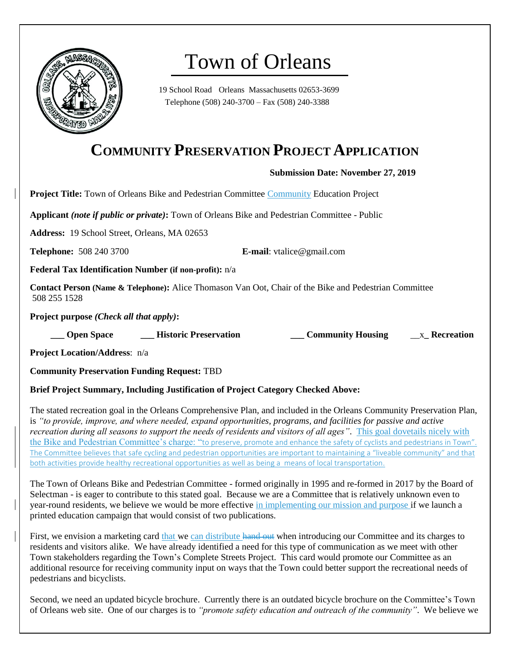

# Town of Orleans

19 School Road Orleans Massachusetts 02653-3699 Telephone (508) 240-3700 – Fax (508) 240-3388

# **COMMUNITY PRESERVATION PROJECT APPLICATION**

**Submission Date: November 27, 2019**

**Project Title:** Town of Orleans Bike and Pedestrian Committee Community Education Project

**Applicant** *(note if public or private)***:** Town of Orleans Bike and Pedestrian Committee - Public

**Address:** 19 School Street, Orleans, MA 02653

**Telephone:** 508 240 3700 **E-mail:** vtalice@gmail.com

**Federal Tax Identification Number (if non-profit):** n/a

**Contact Person (Name & Telephone):** Alice Thomason Van Oot, Chair of the Bike and Pedestrian Committee 508 255 1528

**Project purpose** *(Check all that apply)***:**

 **\_\_\_ Open Space \_\_\_ Historic Preservation \_\_\_ Community Housing** \_\_x**\_ Recreation**

**Project Location/Address**: n/a

**Community Preservation Funding Request:** TBD

## **Brief Project Summary, Including Justification of Project Category Checked Above:**

The stated recreation goal in the Orleans Comprehensive Plan, and included in the Orleans Community Preservation Plan, is *"to provide, improve, and where needed, expand opportunities, programs, and facilities for passive and active recreation during all seasons to support the needs of residents and visitors of all ages"*. This goal dovetails nicely with the Bike and Pedestrian Committee's charge: "to preserve, promote and enhance the safety of cyclists and pedestrians in Town". The Committee believes that safe cycling and pedestrian opportunities are important to maintaining a "liveable community" and that both activities provide healthy recreational opportunities as well as being a means of local transportation.

The Town of Orleans Bike and Pedestrian Committee - formed originally in 1995 and re-formed in 2017 by the Board of Selectman - is eager to contribute to this stated goal. Because we are a Committee that is relatively unknown even to year-round residents, we believe we would be more effective in implementing our mission and purpose if we launch a printed education campaign that would consist of two publications.

First, we envision a marketing card that we can distribute hand out when introducing our Committee and its charges to residents and visitors alike. We have already identified a need for this type of communication as we meet with other Town stakeholders regarding the Town's Complete Streets Project. This card would promote our Committee as an additional resource for receiving community input on ways that the Town could better support the recreational needs of pedestrians and bicyclists.

Second, we need an updated bicycle brochure. Currently there is an outdated bicycle brochure on the Committee's Town of Orleans web site. One of our charges is to *"promote safety education and outreach of the community"*. We believe we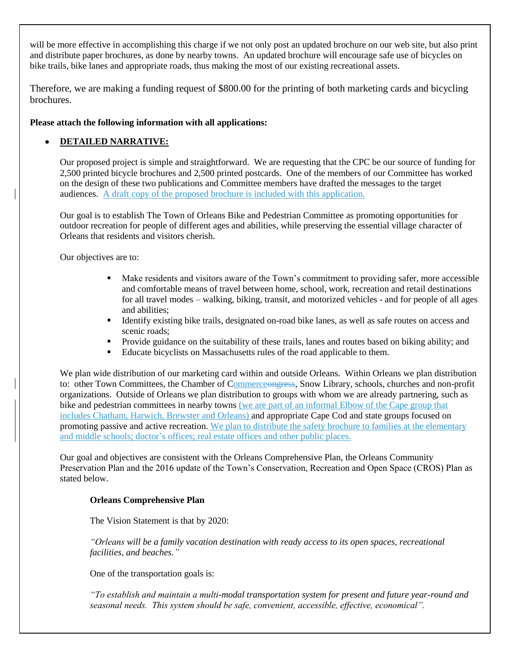will be more effective in accomplishing this charge if we not only post an updated brochure on our web site, but also print and distribute paper brochures, as done by nearby towns. An updated brochure will encourage safe use of bicycles on bike trails, bike lanes and appropriate roads, thus making the most of our existing recreational assets.

Therefore, we are making a funding request of \$800.00 for the printing of both marketing cards and bicycling brochures.

#### **Please attach the following information with all applications:**

# **DETAILED NARRATIVE:**

Our proposed project is simple and straightforward. We are requesting that the CPC be our source of funding for 2,500 printed bicycle brochures and 2,500 printed postcards. One of the members of our Committee has worked on the design of these two publications and Committee members have drafted the messages to the target audiences. A draft copy of the proposed brochure is included with this application.

Our goal is to establish The Town of Orleans Bike and Pedestrian Committee as promoting opportunities for outdoor recreation for people of different ages and abilities, while preserving the essential village character of Orleans that residents and visitors cherish.

Our objectives are to:

- Make residents and visitors aware of the Town's commitment to providing safer, more accessible and comfortable means of travel between home, school, work, recreation and retail destinations for all travel modes – walking, biking, transit, and motorized vehicles - and for people of all ages and abilities;
- Identify existing bike trails, designated on-road bike lanes, as well as safe routes on access and scenic roads;
- Provide guidance on the suitability of these trails, lanes and routes based on biking ability; and
- Educate bicyclists on Massachusetts rules of the road applicable to them.

We plan wide distribution of our marketing card within and outside Orleans. Within Orleans we plan distribution to: other Town Committees, the Chamber of Commerceongress, Snow Library, schools, churches and non-profit organizations. Outside of Orleans we plan distribution to groups with whom we are already partnering, such as bike and pedestrian committees in nearby towns (we are part of an informal Elbow of the Cape group that includes Chatham, Harwich, Brewster and Orleans) and appropriate Cape Cod and state groups focused on promoting passive and active recreation. We plan to distribute the safety brochure to families at the elementary and middle schools; doctor's offices; real estate offices and other public places.

Our goal and objectives are consistent with the Orleans Comprehensive Plan, the Orleans Community Preservation Plan and the 2016 update of the Town's Conservation, Recreation and Open Space (CROS) Plan as stated below.

#### **Orleans Comprehensive Plan**

The Vision Statement is that by 2020:

*"Orleans will be a family vacation destination with ready access to its open spaces, recreational facilities, and beaches."*

One of the transportation goals is:

*"To establish and maintain a multi-modal transportation system for present and future year-round and seasonal needs. This system should be safe, convenient, accessible, effective, economical".*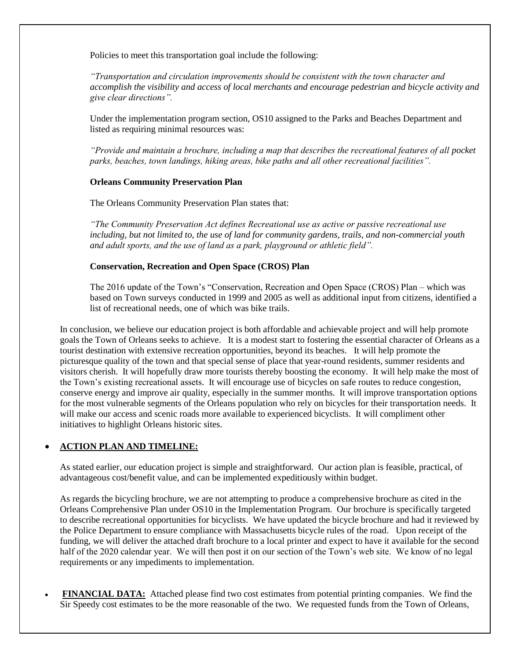Policies to meet this transportation goal include the following:

*"Transportation and circulation improvements should be consistent with the town character and accomplish the visibility and access of local merchants and encourage pedestrian and bicycle activity and give clear directions".* 

Under the implementation program section, OS10 assigned to the Parks and Beaches Department and listed as requiring minimal resources was:

*"Provide and maintain a brochure, including a map that describes the recreational features of all pocket parks, beaches, town landings, hiking areas, bike paths and all other recreational facilities".*

#### **Orleans Community Preservation Plan**

The Orleans Community Preservation Plan states that:

*"The Community Preservation Act defines Recreational use as active or passive recreational use including, but not limited to, the use of land for community gardens, trails, and non-commercial youth and adult sports, and the use of land as a park, playground or athletic field".*

#### **Conservation, Recreation and Open Space (CROS) Plan**

The 2016 update of the Town's "Conservation, Recreation and Open Space (CROS) Plan – which was based on Town surveys conducted in 1999 and 2005 as well as additional input from citizens, identified a list of recreational needs, one of which was bike trails.

In conclusion, we believe our education project is both affordable and achievable project and will help promote goals the Town of Orleans seeks to achieve. It is a modest start to fostering the essential character of Orleans as a tourist destination with extensive recreation opportunities, beyond its beaches. It will help promote the picturesque quality of the town and that special sense of place that year-round residents, summer residents and visitors cherish. It will hopefully draw more tourists thereby boosting the economy. It will help make the most of the Town's existing recreational assets. It will encourage use of bicycles on safe routes to reduce congestion, conserve energy and improve air quality, especially in the summer months. It will improve transportation options for the most vulnerable segments of the Orleans population who rely on bicycles for their transportation needs. It will make our access and scenic roads more available to experienced bicyclists. It will compliment other initiatives to highlight Orleans historic sites.

## **ACTION PLAN AND TIMELINE:**

As stated earlier, our education project is simple and straightforward. Our action plan is feasible, practical, of advantageous cost/benefit value, and can be implemented expeditiously within budget.

As regards the bicycling brochure, we are not attempting to produce a comprehensive brochure as cited in the Orleans Comprehensive Plan under OS10 in the Implementation Program. Our brochure is specifically targeted to describe recreational opportunities for bicyclists. We have updated the bicycle brochure and had it reviewed by the Police Department to ensure compliance with Massachusetts bicycle rules of the road. Upon receipt of the funding, we will deliver the attached draft brochure to a local printer and expect to have it available for the second half of the 2020 calendar year. We will then post it on our section of the Town's web site. We know of no legal requirements or any impediments to implementation.

 **FINANCIAL DATA:** Attached please find two cost estimates from potential printing companies. We find the Sir Speedy cost estimates to be the more reasonable of the two. We requested funds from the Town of Orleans,